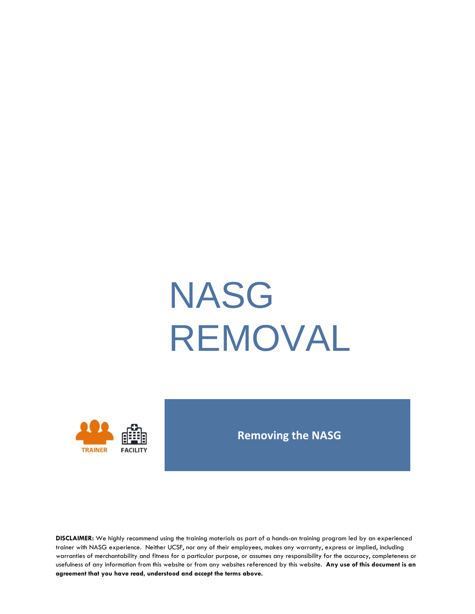# NASG REMOVAL



#### **Removing the NASG**

**DISCLAIMER:** We highly recommend using the training materials as part of a hands-on training program led by an experienced trainer with NASG experience. Neither UCSF, nor any of their employees, makes any warranty, express or implied, including warranties of merchantability and fitness for a particular purpose, or assumes any responsibility for the accuracy, completeness or usefulness of any information from this website or from any websites referenced by this website. **Any use of this document is an agreement that you have read, understood and accept the terms above.**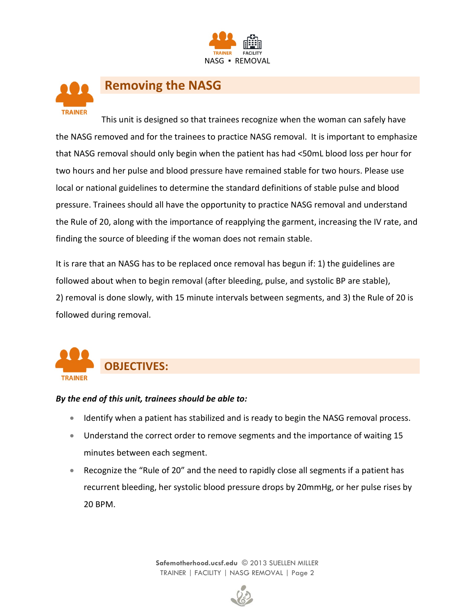



#### **Removing the NASG**

This unit is designed so that trainees recognize when the woman can safely have the NASG removed and for the trainees to practice NASG removal. It is important to emphasize that NASG removal should only begin when the patient has had <50mL blood loss per hour for two hours and her pulse and blood pressure have remained stable for two hours. Please use local or national guidelines to determine the standard definitions of stable pulse and blood pressure. Trainees should all have the opportunity to practice NASG removal and understand the Rule of 20, along with the importance of reapplying the garment, increasing the IV rate, and finding the source of bleeding if the woman does not remain stable.

It is rare that an NASG has to be replaced once removal has begun if: 1) the guidelines are followed about when to begin removal (after bleeding, pulse, and systolic BP are stable), 2) removal is done slowly, with 15 minute intervals between segments, and 3) the Rule of 20 is followed during removal.



#### *By the end of this unit, trainees should be able to:*

- Identify when a patient has stabilized and is ready to begin the NASG removal process.
- Understand the correct order to remove segments and the importance of waiting 15 minutes between each segment.
- Recognize the "Rule of 20" and the need to rapidly close all segments if a patient has recurrent bleeding, her systolic blood pressure drops by 20mmHg, or her pulse rises by 20 BPM.

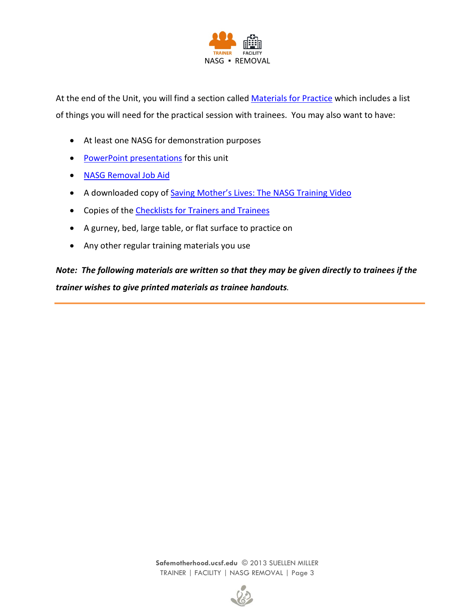

At the end of the Unit, you will find a section called [Materials for Practice](#page-9-0) which includes a list of things you will need for the practical session with trainees. You may also want to have:

- At least one NASG for demonstration purposes
- [PowerPoint presentations](http://www.safemotherhood.ucsf.edu/traininglearningmaterials/#TR-FAC) for this unit
- [NASG Removal](http://www.safemotherhood.ucsf.edu/wp-content/uploads/2014/08/NASG_Removal_Job-Aids_updated.pdf) Job Aid
- A downloaded copy of [Saving Mother's Lives: The NASG Training Video](http://www.safemotherhood.ucsf.edu/traininglearningmaterials/#VIDEO)
- Copies of the [Checklists for Trainers and Trainees](#page-10-0)
- A gurney, bed, large table, or flat surface to practice on
- Any other regular training materials you use

*Note: The following materials are written so that they may be given directly to trainees if the trainer wishes to give printed materials as trainee handouts.*

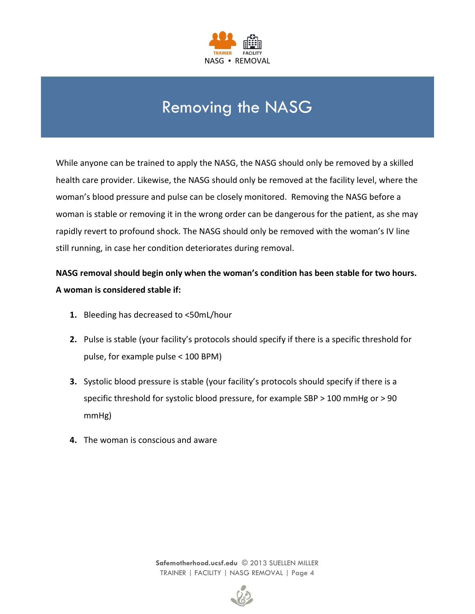

# Removing the NASG

While anyone can be trained to apply the NASG, the NASG should only be removed by a skilled health care provider. Likewise, the NASG should only be removed at the facility level, where the woman's blood pressure and pulse can be closely monitored. Removing the NASG before a woman is stable or removing it in the wrong order can be dangerous for the patient, as she may rapidly revert to profound shock. The NASG should only be removed with the woman's IV line still running, in case her condition deteriorates during removal.

**NASG removal should begin only when the woman's condition has been stable for two hours. A woman is considered stable if:**

- **1.** Bleeding has decreased to <50mL/hour
- **2.** Pulse is stable (your facility's protocols should specify if there is a specific threshold for pulse, for example pulse < 100 BPM)
- **3.** Systolic blood pressure is stable (your facility's protocols should specify if there is a specific threshold for systolic blood pressure, for example SBP > 100 mmHg or > 90 mmHg)
- **4.** The woman is conscious and aware

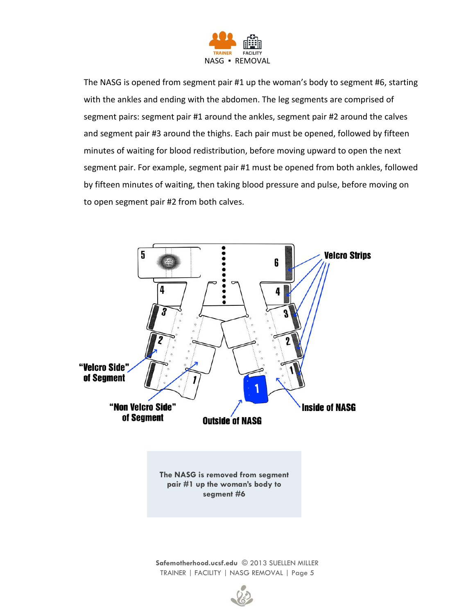

The NASG is opened from segment pair #1 up the woman's body to segment #6, starting with the ankles and ending with the abdomen. The leg segments are comprised of segment pairs: segment pair #1 around the ankles, segment pair #2 around the calves and segment pair #3 around the thighs. Each pair must be opened, followed by fifteen minutes of waiting for blood redistribution, before moving upward to open the next segment pair. For example, segment pair #1 must be opened from both ankles, followed by fifteen minutes of waiting, then taking blood pressure and pulse, before moving on to open segment pair #2 from both calves.



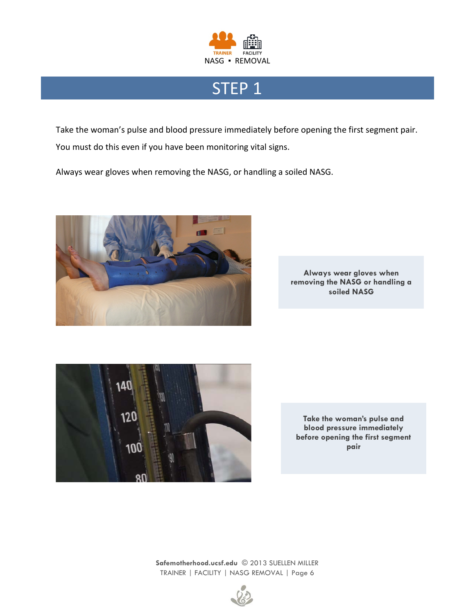

# STEP<sub>1</sub>

Take the woman's pulse and blood pressure immediately before opening the first segment pair. You must do this even if you have been monitoring vital signs.

Always wear gloves when removing the NASG, or handling a soiled NASG.



**Always wear gloves when removing the NASG or handling a soiled NASG** 



**Take the woman's pulse and blood pressure immediately before opening the first segment pair**

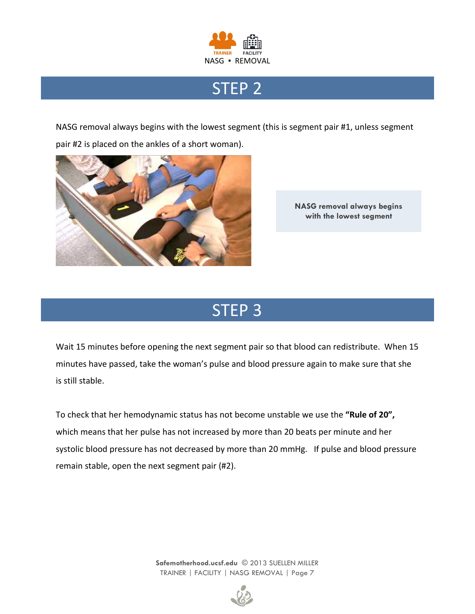

# STEP 2

NASG removal always begins with the lowest segment (this is segment pair #1, unless segment pair #2 is placed on the ankles of a short woman).



**NASG removal always begins with the lowest segment**

# STEP 3

Wait 15 minutes before opening the next segment pair so that blood can redistribute. When 15 minutes have passed, take the woman's pulse and blood pressure again to make sure that she is still stable.

To check that her hemodynamic status has not become unstable we use the **"Rule of 20",** which means that her pulse has not increased by more than 20 beats per minute and her systolic blood pressure has not decreased by more than 20 mmHg. If pulse and blood pressure remain stable, open the next segment pair (#2).

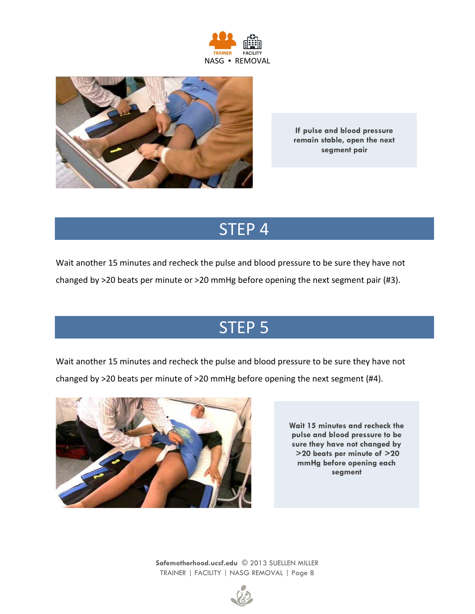



**If pulse and blood pressure remain stable, open the next segment pair**

# STEP 4

Wait another 15 minutes and recheck the pulse and blood pressure to be sure they have not

changed by >20 beats per minute or >20 mmHg before opening the next segment pair (#3).

# STEP 5

Wait another 15 minutes and recheck the pulse and blood pressure to be sure they have not changed by >20 beats per minute of >20 mmHg before opening the next segment (#4).



**Wait 15 minutes and recheck the pulse and blood pressure to be sure they have not changed by >20 beats per minute of >20 mmHg before opening each segment**

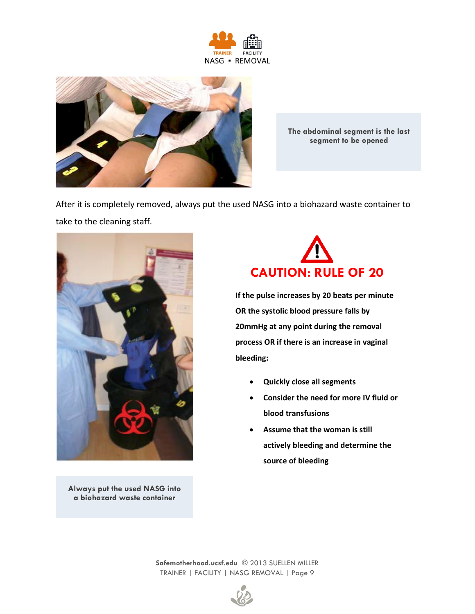



**The abdominal segment is the last segment to be opened**

After it is completely removed, always put the used NASG into a biohazard waste container to take to the cleaning staff.



**Always put the used NASG into a biohazard waste container**



**If the pulse increases by 20 beats per minute OR the systolic blood pressure falls by 20mmHg at any point during the removal process OR if there is an increase in vaginal bleeding:**

- **Quickly close all segments**
- **Consider the need for more IV fluid or blood transfusions**
- **Assume that the woman is still actively bleeding and determine the source of bleeding**

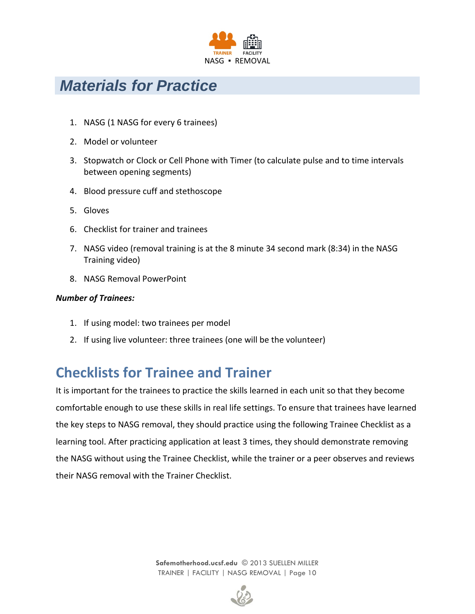

## <span id="page-9-0"></span>*Materials for Practice*

- 1. NASG (1 NASG for every 6 trainees)
- 2. Model or volunteer
- 3. Stopwatch or Clock or Cell Phone with Timer (to calculate pulse and to time intervals between opening segments)
- 4. Blood pressure cuff and stethoscope
- 5. Gloves
- 6. Checklist for trainer and trainees
- 7. NASG video (removal training is at the 8 minute 34 second mark (8:34) in the NASG Training video)
- 8. NASG Removal PowerPoint

#### *Number of Trainees:*

- 1. If using model: two trainees per model
- 2. If using live volunteer: three trainees (one will be the volunteer)

## **Checklists for Trainee and Trainer**

It is important for the trainees to practice the skills learned in each unit so that they become comfortable enough to use these skills in real life settings. To ensure that trainees have learned the key steps to NASG removal, they should practice using the following Trainee Checklist as a learning tool. After practicing application at least 3 times, they should demonstrate removing the NASG without using the Trainee Checklist, while the trainer or a peer observes and reviews their NASG removal with the Trainer Checklist.

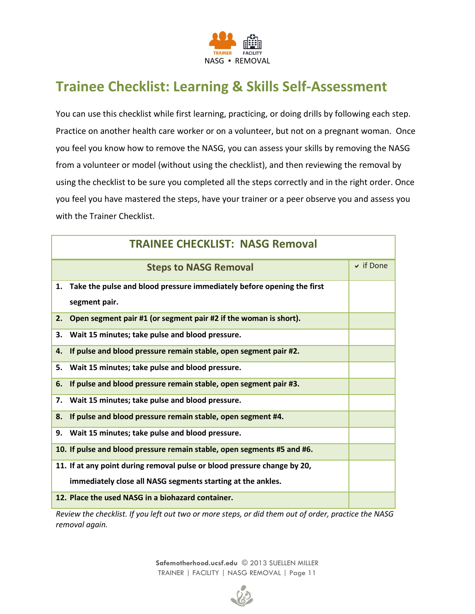

## <span id="page-10-0"></span>**Trainee Checklist: Learning & Skills Self-Assessment**

You can use this checklist while first learning, practicing, or doing drills by following each step. Practice on another health care worker or on a volunteer, but not on a pregnant woman. Once you feel you know how to remove the NASG, you can assess your skills by removing the NASG from a volunteer or model (without using the checklist), and then reviewing the removal by using the checklist to be sure you completed all the steps correctly and in the right order. Once you feel you have mastered the steps, have your trainer or a peer observe you and assess you with the Trainer Checklist.

| <b>TRAINEE CHECKLIST: NASG Removal</b>                                       |                |  |
|------------------------------------------------------------------------------|----------------|--|
| <b>Steps to NASG Removal</b>                                                 | $\vee$ if Done |  |
| 1.<br>Take the pulse and blood pressure immediately before opening the first |                |  |
| segment pair.                                                                |                |  |
| Open segment pair #1 (or segment pair #2 if the woman is short).<br>2.       |                |  |
| Wait 15 minutes; take pulse and blood pressure.<br>З.                        |                |  |
| If pulse and blood pressure remain stable, open segment pair #2.<br>4.       |                |  |
| Wait 15 minutes; take pulse and blood pressure.<br>5.                        |                |  |
| If pulse and blood pressure remain stable, open segment pair #3.<br>6.       |                |  |
| Wait 15 minutes; take pulse and blood pressure.<br>7.                        |                |  |
| If pulse and blood pressure remain stable, open segment #4.<br>8.            |                |  |
| Wait 15 minutes; take pulse and blood pressure.<br>9.                        |                |  |
| 10. If pulse and blood pressure remain stable, open segments #5 and #6.      |                |  |
| 11. If at any point during removal pulse or blood pressure change by 20,     |                |  |
| immediately close all NASG segments starting at the ankles.                  |                |  |
| 12. Place the used NASG in a biohazard container.                            |                |  |

*Review the checklist. If you left out two or more steps, or did them out of order, practice the NASG removal again.*

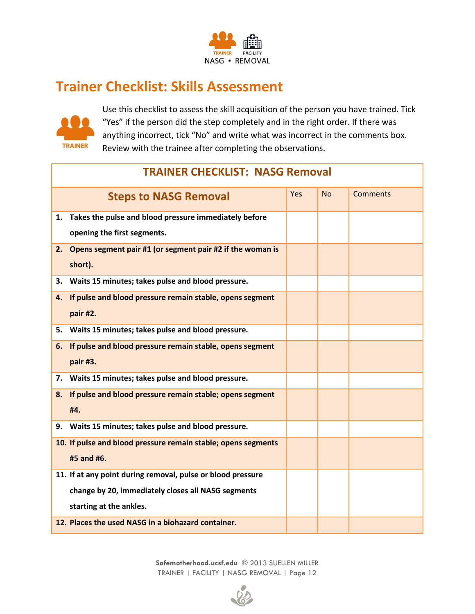

### **Trainer Checklist: Skills Assessment**



Use this checklist to assess the skill acquisition of the person you have trained. Tick "Yes" if the person did the step completely and in the right order. If there was anything incorrect, tick "No" and write what was incorrect in the comments box. Review with the trainee after completing the observations.

| <b>TRAINER CHECKLIST: NASG Removal</b> |                                                               |     |           |                 |
|----------------------------------------|---------------------------------------------------------------|-----|-----------|-----------------|
|                                        | <b>Steps to NASG Removal</b>                                  | Yes | <b>No</b> | <b>Comments</b> |
| 1.                                     | Takes the pulse and blood pressure immediately before         |     |           |                 |
|                                        | opening the first segments.                                   |     |           |                 |
| 2.                                     | Opens segment pair #1 (or segment pair #2 if the woman is     |     |           |                 |
|                                        | short).                                                       |     |           |                 |
| 3.                                     | Waits 15 minutes; takes pulse and blood pressure.             |     |           |                 |
| 4.                                     | If pulse and blood pressure remain stable, opens segment      |     |           |                 |
|                                        | pair #2.                                                      |     |           |                 |
| 5.                                     | Waits 15 minutes; takes pulse and blood pressure.             |     |           |                 |
| 6.                                     | If pulse and blood pressure remain stable, opens segment      |     |           |                 |
|                                        | pair #3.                                                      |     |           |                 |
| 7.                                     | Waits 15 minutes; takes pulse and blood pressure.             |     |           |                 |
| 8.                                     | If pulse and blood pressure remain stable; opens segment      |     |           |                 |
|                                        | #4.                                                           |     |           |                 |
| 9.                                     | Waits 15 minutes; takes pulse and blood pressure.             |     |           |                 |
|                                        | 10. If pulse and blood pressure remain stable; opens segments |     |           |                 |
|                                        | #5 and #6.                                                    |     |           |                 |
|                                        | 11. If at any point during removal, pulse or blood pressure   |     |           |                 |
|                                        | change by 20, immediately closes all NASG segments            |     |           |                 |
|                                        | starting at the ankles.                                       |     |           |                 |
|                                        | 12. Places the used NASG in a biohazard container.            |     |           |                 |

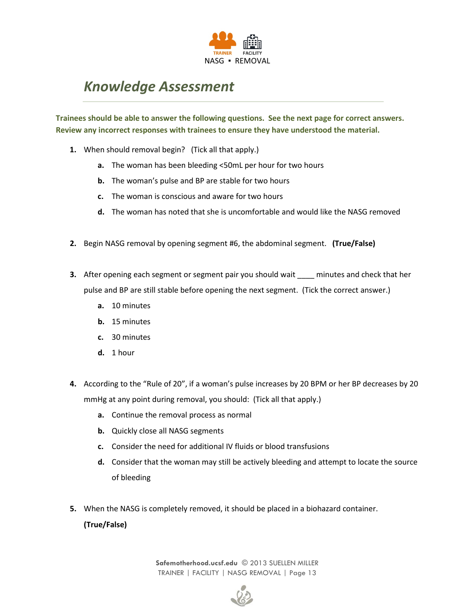

## *Knowledge Assessment*

**Trainees should be able to answer the following questions. See the next page for correct answers. Review any incorrect responses with trainees to ensure they have understood the material.**

- **1.** When should removal begin? (Tick all that apply.)
	- **a.** The woman has been bleeding <50mL per hour for two hours
	- **b.** The woman's pulse and BP are stable for two hours
	- **c.** The woman is conscious and aware for two hours
	- **d.** The woman has noted that she is uncomfortable and would like the NASG removed
- **2.** Begin NASG removal by opening segment #6, the abdominal segment. **(True/False)**
- **3.** After opening each segment or segment pair you should wait \_\_\_\_ minutes and check that her pulse and BP are still stable before opening the next segment. (Tick the correct answer.)
	- **a.** 10 minutes
	- **b.** 15 minutes
	- **c.** 30 minutes
	- **d.** 1 hour
- **4.** According to the "Rule of 20", if a woman's pulse increases by 20 BPM or her BP decreases by 20 mmHg at any point during removal, you should: (Tick all that apply.)
	- **a.** Continue the removal process as normal
	- **b.** Quickly close all NASG segments
	- **c.** Consider the need for additional IV fluids or blood transfusions
	- **d.** Consider that the woman may still be actively bleeding and attempt to locate the source of bleeding
- **5.** When the NASG is completely removed, it should be placed in a biohazard container.

**(True/False)**